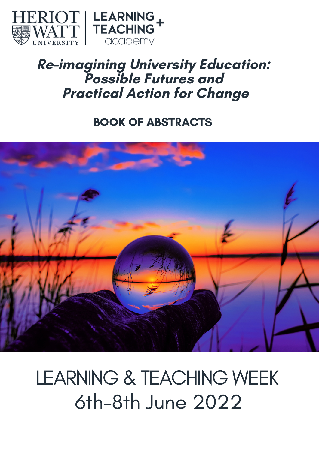

## **Re-imagining University Education: Possible Futures and Practical Action for Change**

### BOOK OF ABSTRACTS



# LEARNING & TEACHING WEEK 6th-8th June 2022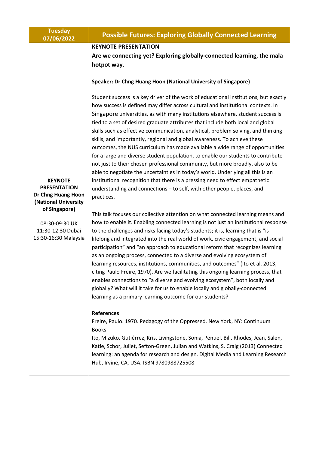| <b>Tuesday</b><br>07/06/2022                                                        | <b>Possible Futures: Exploring Globally Connected Learning</b>                                                                                                                                                                                                                                                                                                                                                                                                                                                                                                                                                                                                                                                                                                                                                                                                                                                                                                                                                                    |
|-------------------------------------------------------------------------------------|-----------------------------------------------------------------------------------------------------------------------------------------------------------------------------------------------------------------------------------------------------------------------------------------------------------------------------------------------------------------------------------------------------------------------------------------------------------------------------------------------------------------------------------------------------------------------------------------------------------------------------------------------------------------------------------------------------------------------------------------------------------------------------------------------------------------------------------------------------------------------------------------------------------------------------------------------------------------------------------------------------------------------------------|
|                                                                                     | <b>KEYNOTE PRESENTATION</b>                                                                                                                                                                                                                                                                                                                                                                                                                                                                                                                                                                                                                                                                                                                                                                                                                                                                                                                                                                                                       |
|                                                                                     | Are we connecting yet? Exploring globally-connected learning, the mala<br>hotpot way.                                                                                                                                                                                                                                                                                                                                                                                                                                                                                                                                                                                                                                                                                                                                                                                                                                                                                                                                             |
|                                                                                     | Speaker: Dr Chng Huang Hoon (National University of Singapore)                                                                                                                                                                                                                                                                                                                                                                                                                                                                                                                                                                                                                                                                                                                                                                                                                                                                                                                                                                    |
| <b>KEYNOTE</b><br><b>PRESENTATION</b><br>Dr Chng Huang Hoon<br>(National University | Student success is a key driver of the work of educational institutions, but exactly<br>how success is defined may differ across cultural and institutional contexts. In<br>Singapore universities, as with many institutions elsewhere, student success is<br>tied to a set of desired graduate attributes that include both local and global<br>skills such as effective communication, analytical, problem solving, and thinking<br>skills, and importantly, regional and global awareness. To achieve these<br>outcomes, the NUS curriculum has made available a wide range of opportunities<br>for a large and diverse student population, to enable our students to contribute<br>not just to their chosen professional community, but more broadly, also to be<br>able to negotiate the uncertainties in today's world. Underlying all this is an<br>institutional recognition that there is a pressing need to effect empathetic<br>understanding and connections - to self, with other people, places, and<br>practices. |
| of Singapore)                                                                       | This talk focuses our collective attention on what connected learning means and<br>how to enable it. Enabling connected learning is not just an institutional response                                                                                                                                                                                                                                                                                                                                                                                                                                                                                                                                                                                                                                                                                                                                                                                                                                                            |
| 08:30-09:30 UK<br>11:30-12:30 Dubai<br>15:30-16:30 Malaysia                         | to the challenges and risks facing today's students; it is, learning that is "is<br>lifelong and integrated into the real world of work, civic engagement, and social<br>participation" and "an approach to educational reform that recognizes learning<br>as an ongoing process, connected to a diverse and evolving ecosystem of<br>learning resources, institutions, communities, and outcomes" (Ito et al. 2013,<br>citing Paulo Freire, 1970). Are we facilitating this ongoing learning process, that<br>enables connections to "a diverse and evolving ecosystem", both locally and<br>globally? What will it take for us to enable locally and globally-connected<br>learning as a primary learning outcome for our students?                                                                                                                                                                                                                                                                                             |
|                                                                                     | <b>References</b><br>Freire, Paulo. 1970. Pedagogy of the Oppressed. New York, NY: Continuum<br>Books.                                                                                                                                                                                                                                                                                                                                                                                                                                                                                                                                                                                                                                                                                                                                                                                                                                                                                                                            |
|                                                                                     | Ito, Mizuko, Gutiérrez, Kris, Livingstone, Sonia, Penuel, Bill, Rhodes, Jean, Salen,<br>Katie, Schor, Juliet, Sefton-Green, Julian and Watkins, S. Craig (2013) Connected<br>learning: an agenda for research and design. Digital Media and Learning Research<br>Hub, Irvine, CA, USA. ISBN 9780988725508                                                                                                                                                                                                                                                                                                                                                                                                                                                                                                                                                                                                                                                                                                                         |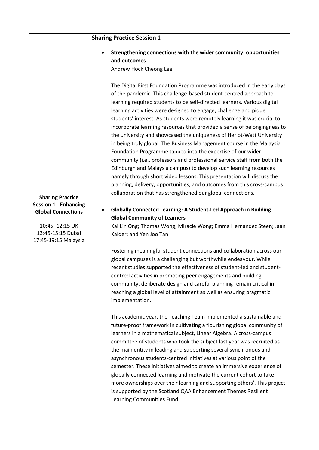|                                                             | <b>Sharing Practice Session 1</b>                                                                                                                                                                                                                                                                                                                                                                                                                                                                                                                                                                                                                                                                                                                                                                                                                                                                                                                                                                                                         |
|-------------------------------------------------------------|-------------------------------------------------------------------------------------------------------------------------------------------------------------------------------------------------------------------------------------------------------------------------------------------------------------------------------------------------------------------------------------------------------------------------------------------------------------------------------------------------------------------------------------------------------------------------------------------------------------------------------------------------------------------------------------------------------------------------------------------------------------------------------------------------------------------------------------------------------------------------------------------------------------------------------------------------------------------------------------------------------------------------------------------|
|                                                             | Strengthening connections with the wider community: opportunities<br>and outcomes<br>Andrew Hock Cheong Lee                                                                                                                                                                                                                                                                                                                                                                                                                                                                                                                                                                                                                                                                                                                                                                                                                                                                                                                               |
| <b>Sharing Practice</b>                                     | The Digital First Foundation Programme was introduced in the early days<br>of the pandemic. This challenge-based student-centred approach to<br>learning required students to be self-directed learners. Various digital<br>learning activities were designed to engage, challenge and pique<br>students' interest. As students were remotely learning it was crucial to<br>incorporate learning resources that provided a sense of belongingness to<br>the university and showcased the uniqueness of Heriot-Watt University<br>in being truly global. The Business Management course in the Malaysia<br>Foundation Programme tapped into the expertise of our wider<br>community (i.e., professors and professional service staff from both the<br>Edinburgh and Malaysia campus) to develop such learning resources<br>namely through short video lessons. This presentation will discuss the<br>planning, delivery, opportunities, and outcomes from this cross-campus<br>collaboration that has strengthened our global connections. |
| <b>Session 1 - Enhancing</b><br><b>Global Connections</b>   | <b>Globally Connected Learning: A Student-Led Approach in Building</b><br><b>Global Community of Learners</b>                                                                                                                                                                                                                                                                                                                                                                                                                                                                                                                                                                                                                                                                                                                                                                                                                                                                                                                             |
| 10:45-12:15 UK<br>13:45-15:15 Dubai<br>17:45-19:15 Malaysia | Kai Lin Ong; Thomas Wong; Miracle Wong; Emma Hernandez Steen; Jaan<br>Kalder; and Yen Joo Tan                                                                                                                                                                                                                                                                                                                                                                                                                                                                                                                                                                                                                                                                                                                                                                                                                                                                                                                                             |
|                                                             | Fostering meaningful student connections and collaboration across our<br>global campuses is a challenging but worthwhile endeavour. While<br>recent studies supported the effectiveness of student-led and student-<br>centred activities in promoting peer engagements and building<br>community, deliberate design and careful planning remain critical in<br>reaching a global level of attainment as well as ensuring pragmatic<br>implementation.                                                                                                                                                                                                                                                                                                                                                                                                                                                                                                                                                                                    |
|                                                             | This academic year, the Teaching Team implemented a sustainable and<br>future-proof framework in cultivating a flourishing global community of<br>learners in a mathematical subject, Linear Algebra. A cross-campus<br>committee of students who took the subject last year was recruited as<br>the main entity in leading and supporting several synchronous and<br>asynchronous students-centred initiatives at various point of the<br>semester. These initiatives aimed to create an immersive experience of<br>globally connected learning and motivate the current cohort to take<br>more ownerships over their learning and supporting others'. This project<br>is supported by the Scotland QAA Enhancement Themes Resilient<br>Learning Communities Fund.                                                                                                                                                                                                                                                                       |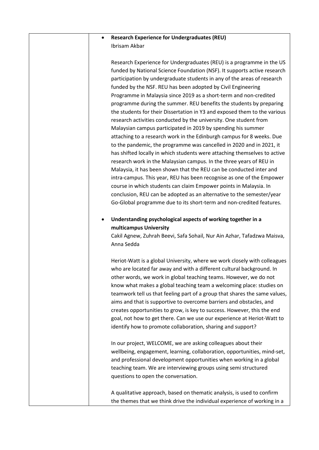#### • **Research Experience for Undergraduates (REU)**  Ibrisam Akbar

Research Experience for Undergraduates (REU) is a programme in the US funded by National Science Foundation (NSF). It supports active research participation by undergraduate students in any of the areas of research funded by the NSF. REU has been adopted by Civil Engineering Programme in Malaysia since 2019 as a short-term and non-credited programme during the summer. REU benefits the students by preparing the students for their Dissertation in Y3 and exposed them to the various research activities conducted by the university. One student from Malaysian campus participated in 2019 by spending his summer attaching to a research work in the Edinburgh campus for 8 weeks. Due to the pandemic, the programme was cancelled in 2020 and in 2021, it has shifted locally in which students were attaching themselves to active research work in the Malaysian campus. In the three years of REU in Malaysia, it has been shown that the REU can be conducted inter and intra-campus. This year, REU has been recognise as one of the Empower course in which students can claim Empower points in Malaysia. In conclusion, REU can be adopted as an alternative to the semester/year Go-Global programme due to its short-term and non-credited features.

• **Understanding psychological aspects of working together in a multicampus University**

Cakil Agnew, Zuhrah Beevi, Safa Sohail, Nur Ain Azhar, Tafadzwa Maisva, Anna Sedda

Heriot-Watt is a global University, where we work closely with colleagues who are located far away and with a different cultural background. In other words, we work in global teaching teams. However, we do not know what makes a global teaching team a welcoming place: studies on teamwork tell us that feeling part of a group that shares the same values, aims and that is supportive to overcome barriers and obstacles, and creates opportunities to grow, is key to success. However, this the end goal, not how to get there. Can we use our experience at Heriot-Watt to identify how to promote collaboration, sharing and support?

In our project, WELCOME, we are asking colleagues about their wellbeing, engagement, learning, collaboration, opportunities, mind-set, and professional development opportunities when working in a global teaching team. We are interviewing groups using semi structured questions to open the conversation.

A qualitative approach, based on thematic analysis, is used to confirm the themes that we think drive the individual experience of working in a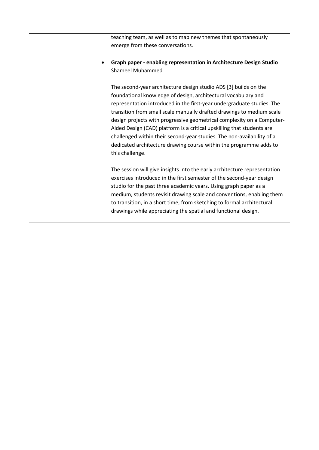| teaching team, as well as to map new themes that spontaneously<br>emerge from these conversations.                                                                                                                                                                                                                                                                                                                                                                                                                                                                                                           |
|--------------------------------------------------------------------------------------------------------------------------------------------------------------------------------------------------------------------------------------------------------------------------------------------------------------------------------------------------------------------------------------------------------------------------------------------------------------------------------------------------------------------------------------------------------------------------------------------------------------|
| Graph paper - enabling representation in Architecture Design Studio<br><b>Shameel Muhammed</b>                                                                                                                                                                                                                                                                                                                                                                                                                                                                                                               |
| The second-year architecture design studio ADS [3] builds on the<br>foundational knowledge of design, architectural vocabulary and<br>representation introduced in the first-year undergraduate studies. The<br>transition from small scale manually drafted drawings to medium scale<br>design projects with progressive geometrical complexity on a Computer-<br>Aided Design (CAD) platform is a critical upskilling that students are<br>challenged within their second-year studies. The non-availability of a<br>dedicated architecture drawing course within the programme adds to<br>this challenge. |
| The session will give insights into the early architecture representation<br>exercises introduced in the first semester of the second-year design<br>studio for the past three academic years. Using graph paper as a<br>medium, students revisit drawing scale and conventions, enabling them<br>to transition, in a short time, from sketching to formal architectural<br>drawings while appreciating the spatial and functional design.                                                                                                                                                                   |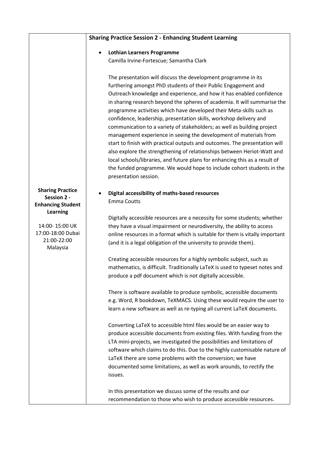|                                                                | <b>Sharing Practice Session 2 - Enhancing Student Learning</b>                                                                                                                                                                                                                                                                                                                                                                                                                                                                                                                                                                                                                                                                                                                                                                                                                                      |
|----------------------------------------------------------------|-----------------------------------------------------------------------------------------------------------------------------------------------------------------------------------------------------------------------------------------------------------------------------------------------------------------------------------------------------------------------------------------------------------------------------------------------------------------------------------------------------------------------------------------------------------------------------------------------------------------------------------------------------------------------------------------------------------------------------------------------------------------------------------------------------------------------------------------------------------------------------------------------------|
|                                                                |                                                                                                                                                                                                                                                                                                                                                                                                                                                                                                                                                                                                                                                                                                                                                                                                                                                                                                     |
|                                                                | <b>Lothian Learners Programme</b><br>$\bullet$                                                                                                                                                                                                                                                                                                                                                                                                                                                                                                                                                                                                                                                                                                                                                                                                                                                      |
|                                                                | Camilla Irvine-Fortescue; Samantha Clark                                                                                                                                                                                                                                                                                                                                                                                                                                                                                                                                                                                                                                                                                                                                                                                                                                                            |
|                                                                | The presentation will discuss the development programme in its<br>furthering amongst PhD students of their Public Engagement and<br>Outreach knowledge and experience, and how it has enabled confidence<br>in sharing research beyond the spheres of academia. It will summarise the<br>programme activities which have developed their Meta-skills such as<br>confidence, leadership, presentation skills, workshop delivery and<br>communication to a variety of stakeholders; as well as building project<br>management experience in seeing the development of materials from<br>start to finish with practical outputs and outcomes. The presentation will<br>also explore the strengthening of relationships between Heriot-Watt and<br>local schools/libraries, and future plans for enhancing this as a result of<br>the funded programme. We would hope to include cohort students in the |
|                                                                | presentation session.                                                                                                                                                                                                                                                                                                                                                                                                                                                                                                                                                                                                                                                                                                                                                                                                                                                                               |
| <b>Sharing Practice</b><br>Session 2 -                         | Digital accessibility of maths-based resources<br><b>Emma Coutts</b>                                                                                                                                                                                                                                                                                                                                                                                                                                                                                                                                                                                                                                                                                                                                                                                                                                |
| <b>Enhancing Student</b><br>Learning                           |                                                                                                                                                                                                                                                                                                                                                                                                                                                                                                                                                                                                                                                                                                                                                                                                                                                                                                     |
|                                                                | Digitally accessible resources are a necessity for some students; whether                                                                                                                                                                                                                                                                                                                                                                                                                                                                                                                                                                                                                                                                                                                                                                                                                           |
| 14:00-15:00 UK<br>17:00-18:00 Dubai<br>21:00-22:00<br>Malaysia | they have a visual impairment or neurodiversity, the ability to access<br>online resources in a format which is suitable for them is vitally important<br>(and it is a legal obligation of the university to provide them).                                                                                                                                                                                                                                                                                                                                                                                                                                                                                                                                                                                                                                                                         |
|                                                                | Creating accessible resources for a highly symbolic subject, such as                                                                                                                                                                                                                                                                                                                                                                                                                                                                                                                                                                                                                                                                                                                                                                                                                                |
|                                                                | mathematics, is difficult. Traditionally LaTeX is used to typeset notes and                                                                                                                                                                                                                                                                                                                                                                                                                                                                                                                                                                                                                                                                                                                                                                                                                         |
|                                                                | produce a pdf document which is not digitally accessible.                                                                                                                                                                                                                                                                                                                                                                                                                                                                                                                                                                                                                                                                                                                                                                                                                                           |
|                                                                | There is software available to produce symbolic, accessible documents<br>e.g. Word, R bookdown, TeXMACS. Using these would require the user to<br>learn a new software as well as re-typing all current LaTeX documents.                                                                                                                                                                                                                                                                                                                                                                                                                                                                                                                                                                                                                                                                            |
|                                                                | Converting LaTeX to accessible html files would be an easier way to<br>produce accessible documents from existing files. With funding from the<br>LTA mini-projects, we investigated the possibilities and limitations of<br>software which claims to do this. Due to the highly customisable nature of<br>LaTeX there are some problems with the conversion; we have<br>documented some limitations, as well as work arounds, to rectify the<br>issues.                                                                                                                                                                                                                                                                                                                                                                                                                                            |
|                                                                | In this presentation we discuss some of the results and our<br>recommendation to those who wish to produce accessible resources.                                                                                                                                                                                                                                                                                                                                                                                                                                                                                                                                                                                                                                                                                                                                                                    |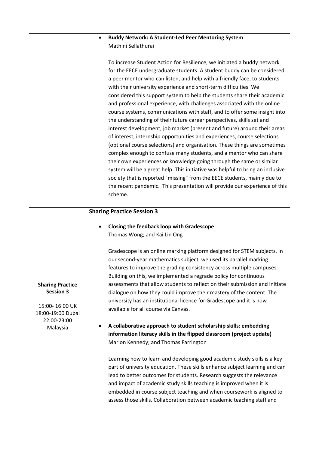|                         | <b>Buddy Network: A Student-Led Peer Mentoring System</b>                      |
|-------------------------|--------------------------------------------------------------------------------|
|                         | Mathini Sellathurai                                                            |
|                         |                                                                                |
|                         | To increase Student Action for Resilience, we initiated a buddy network        |
|                         | for the EECE undergraduate students. A student buddy can be considered         |
|                         | a peer mentor who can listen, and help with a friendly face, to students       |
|                         | with their university experience and short-term difficulties. We               |
|                         | considered this support system to help the students share their academic       |
|                         | and professional experience, with challenges associated with the online        |
|                         | course systems, communications with staff, and to offer some insight into      |
|                         | the understanding of their future career perspectives, skills set and          |
|                         | interest development, job market (present and future) around their areas       |
|                         | of interest, internship opportunities and experiences, course selections       |
|                         | (optional course selections) and organisation. These things are sometimes      |
|                         | complex enough to confuse many students, and a mentor who can share            |
|                         | their own experiences or knowledge going through the same or similar           |
|                         | system will be a great help. This initiative was helpful to bring an inclusive |
|                         | society that is reported "missing" from the EECE students, mainly due to       |
|                         | the recent pandemic. This presentation will provide our experience of this     |
|                         | scheme.                                                                        |
|                         |                                                                                |
|                         | <b>Sharing Practice Session 3</b>                                              |
|                         |                                                                                |
|                         | <b>Closing the feedback loop with Gradescope</b>                               |
|                         | Thomas Wong; and Kai Lin Ong                                                   |
|                         |                                                                                |
|                         | Gradescope is an online marking platform designed for STEM subjects. In        |
|                         | our second-year mathematics subject, we used its parallel marking              |
|                         | features to improve the grading consistency across multiple campuses.          |
|                         | Building on this, we implemented a regrade policy for continuous               |
| <b>Sharing Practice</b> | assessments that allow students to reflect on their submission and initiate    |
| <b>Session 3</b>        | dialogue on how they could improve their mastery of the content. The           |
| 15:00-16:00 UK          | university has an institutional licence for Gradescope and it is now           |
| 18:00-19:00 Dubai       | available for all course via Canvas.                                           |
| 22:00-23:00             |                                                                                |
| Malaysia                | A collaborative approach to student scholarship skills: embedding              |
|                         | information literacy skills in the flipped classroom (project update)          |
|                         | Marion Kennedy; and Thomas Farrington                                          |
|                         | Learning how to learn and developing good academic study skills is a key       |
|                         | part of university education. These skills enhance subject learning and can    |
|                         | lead to better outcomes for students. Research suggests the relevance          |
|                         | and impact of academic study skills teaching is improved when it is            |
|                         |                                                                                |
|                         | embedded in course subject teaching and when coursework is aligned to          |
|                         | assess those skills. Collaboration between academic teaching staff and         |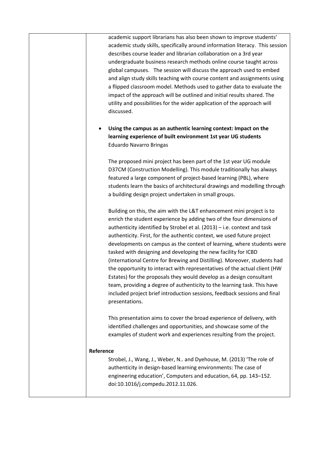academic support librarians has also been shown to improve students' academic study skills, specifically around information literacy. This session describes course leader and librarian collaboration on a 3rd year undergraduate business research methods online course taught across global campuses. The session will discuss the approach used to embed and align study skills teaching with course content and assignments using a flipped classroom model. Methods used to gather data to evaluate the impact of the approach will be outlined and initial results shared. The utility and possibilities for the wider application of the approach will discussed.

• **Using the campus as an authentic learning context: Impact on the learning experience of built environment 1st year UG students** Eduardo Navarro Bringas

The proposed mini project has been part of the 1st year UG module D37CM (Construction Modelling). This module traditionally has always featured a large component of project-based learning (PBL), where students learn the basics of architectural drawings and modelling through a building design project undertaken in small groups.

Building on this, the aim with the L&T enhancement mini project is to enrich the student experience by adding two of the four dimensions of authenticity identified by Strobel et al. (2013) – i.e. context and task authenticity. First, for the authentic context, we used future project developments on campus as the context of learning, where students were tasked with designing and developing the new facility for ICBD (International Centre for Brewing and Distilling). Moreover, students had the opportunity to interact with representatives of the actual client (HW Estates) for the proposals they would develop as a design consultant team, providing a degree of authenticity to the learning task. This have included project brief introduction sessions, feedback sessions and final presentations.

This presentation aims to cover the broad experience of delivery, with identified challenges and opportunities, and showcase some of the examples of student work and experiences resulting from the project.

#### **Reference**

Strobel, J., Wang, J., Weber, N.. and Dyehouse, M. (2013) 'The role of authenticity in design-based learning environments: The case of engineering education', Computers and education, 64, pp. 143–152. doi:10.1016/j.compedu.2012.11.026.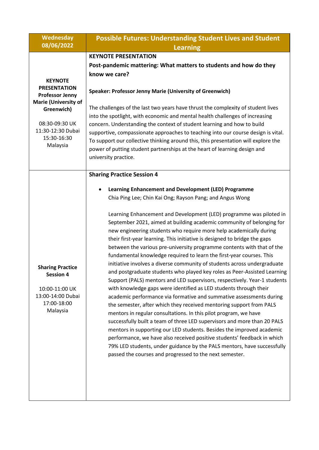| <b>Wednesday</b>                                                                                                                                                               | <b>Possible Futures: Understanding Student Lives and Student</b>                                                                                                                                                                                                                                                                                                                                                                                                                                                                                                                                                                                                                                                                                                                                                                                                                                                                                                                                                                                                                                                                                                                                                                                                                                                                                                                                                                                                                                             |
|--------------------------------------------------------------------------------------------------------------------------------------------------------------------------------|--------------------------------------------------------------------------------------------------------------------------------------------------------------------------------------------------------------------------------------------------------------------------------------------------------------------------------------------------------------------------------------------------------------------------------------------------------------------------------------------------------------------------------------------------------------------------------------------------------------------------------------------------------------------------------------------------------------------------------------------------------------------------------------------------------------------------------------------------------------------------------------------------------------------------------------------------------------------------------------------------------------------------------------------------------------------------------------------------------------------------------------------------------------------------------------------------------------------------------------------------------------------------------------------------------------------------------------------------------------------------------------------------------------------------------------------------------------------------------------------------------------|
| 08/06/2022                                                                                                                                                                     | <b>Learning</b>                                                                                                                                                                                                                                                                                                                                                                                                                                                                                                                                                                                                                                                                                                                                                                                                                                                                                                                                                                                                                                                                                                                                                                                                                                                                                                                                                                                                                                                                                              |
| <b>KEYNOTE</b><br><b>PRESENTATION</b><br><b>Professor Jenny</b><br><b>Marie (University of</b><br>Greenwich)<br>08:30-09:30 UK<br>11:30-12:30 Dubai<br>15:30-16:30<br>Malaysia | <b>KEYNOTE PRESENTATION</b><br>Post-pandemic mattering: What matters to students and how do they<br>know we care?<br><b>Speaker: Professor Jenny Marie (University of Greenwich)</b><br>The challenges of the last two years have thrust the complexity of student lives<br>into the spotlight, with economic and mental health challenges of increasing<br>concern. Understanding the context of student learning and how to build<br>supportive, compassionate approaches to teaching into our course design is vital.<br>To support our collective thinking around this, this presentation will explore the<br>power of putting student partnerships at the heart of learning design and<br>university practice.                                                                                                                                                                                                                                                                                                                                                                                                                                                                                                                                                                                                                                                                                                                                                                                          |
| <b>Sharing Practice</b><br><b>Session 4</b><br>10:00-11:00 UK<br>13:00-14:00 Dubai<br>17:00-18:00<br>Malaysia                                                                  | <b>Sharing Practice Session 4</b><br>Learning Enhancement and Development (LED) Programme<br>Chia Ping Lee; Chin Kai Ong; Rayson Pang; and Angus Wong<br>Learning Enhancement and Development (LED) programme was piloted in<br>September 2021, aimed at building academic community of belonging for<br>new engineering students who require more help academically during<br>their first-year learning. This initiative is designed to bridge the gaps<br>between the various pre-university programme contents with that of the<br>fundamental knowledge required to learn the first-year courses. This<br>initiative involves a diverse community of students across undergraduate<br>and postgraduate students who played key roles as Peer-Assisted Learning<br>Support (PALS) mentors and LED supervisors, respectively. Year-1 students<br>with knowledge gaps were identified as LED students through their<br>academic performance via formative and summative assessments during<br>the semester, after which they received mentoring support from PALS<br>mentors in regular consultations. In this pilot program, we have<br>successfully built a team of three LED supervisors and more than 20 PALS<br>mentors in supporting our LED students. Besides the improved academic<br>performance, we have also received positive students' feedback in which<br>79% LED students, under guidance by the PALS mentors, have successfully<br>passed the courses and progressed to the next semester. |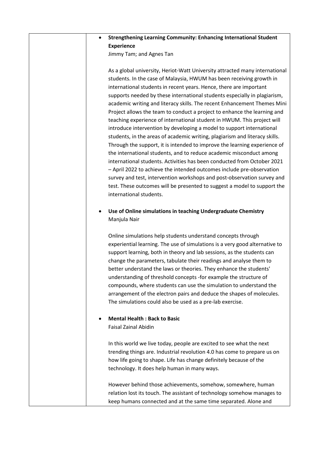#### • **Strengthening Learning Community: Enhancing International Student Experience**

Jimmy Tam; and Agnes Tan

As a global university, Heriot-Watt University attracted many international students. In the case of Malaysia, HWUM has been receiving growth in international students in recent years. Hence, there are important supports needed by these international students especially in plagiarism, academic writing and literacy skills. The recent Enhancement Themes Mini Project allows the team to conduct a project to enhance the learning and teaching experience of international student in HWUM. This project will introduce intervention by developing a model to support international students, in the areas of academic writing, plagiarism and literacy skills. Through the support, it is intended to improve the learning experience of the international students, and to reduce academic misconduct among international students. Activities has been conducted from October 2021 – April 2022 to achieve the intended outcomes include pre-observation survey and test, intervention workshops and post-observation survey and test. These outcomes will be presented to suggest a model to support the international students.

#### • **Use of Online simulations in teaching Undergraduate Chemistry** Manjula Nair

Online simulations help students understand concepts through experiential learning. The use of simulations is a very good alternative to support learning, both in theory and lab sessions, as the students can change the parameters, tabulate their readings and analyse them to better understand the laws or theories. They enhance the students' understanding of threshold concepts -for example the structure of compounds, where students can use the simulation to understand the arrangement of the electron pairs and deduce the shapes of molecules. The simulations could also be used as a pre-lab exercise.

#### • **Mental Health : Back to Basic** Faisal Zainal Abidin

In this world we live today, people are excited to see what the next trending things are. Industrial revolution 4.0 has come to prepare us on how life going to shape. Life has change definitely because of the technology. It does help human in many ways.

However behind those achievements, somehow, somewhere, human relation lost its touch. The assistant of technology somehow manages to keep humans connected and at the same time separated. Alone and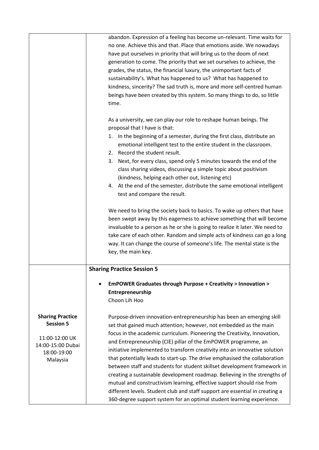|                         | abandon. Expression of a feeling has become un-relevant. Time waits for      |
|-------------------------|------------------------------------------------------------------------------|
|                         | no one. Achieve this and that. Place that emotions aside. We nowadays        |
|                         | have put ourselves in priority that will bring us to the doom of next        |
|                         | generation to come. The priority that we set ourselves to achieve, the       |
|                         | grades, the status, the financial luxury, the unimportant facts of           |
|                         | sustainability's. What has happened to us? What has happened to              |
|                         |                                                                              |
|                         | kindness, sincerity? The sad truth is, more and more self-centred human      |
|                         | beings have been created by this system. So many things to do, so little     |
|                         | time.                                                                        |
|                         | As a university, we can play our role to reshape human beings. The           |
|                         | proposal that I have is that:                                                |
|                         | 1. In the beginning of a semester, during the first class, distribute an     |
|                         | emotional intelligent test to the entire student in the classroom.           |
|                         | 2. Record the student result.                                                |
|                         | Next, for every class, spend only 5 minutes towards the end of the<br>3.     |
|                         |                                                                              |
|                         | class sharing videos, discussing a simple topic about positivism             |
|                         | (kindness, helping each other out, listening etc)                            |
|                         | 4. At the end of the semester, distribute the same emotional intelligent     |
|                         | test and compare the result.                                                 |
|                         | We need to bring the society back to basics. To wake up others that have     |
|                         | been swept away by this eagerness to achieve something that will become      |
|                         | invaluable to a person as he or she is going to realize it later. We need to |
|                         | take care of each other. Random and simple acts of kindness can go a long    |
|                         | way. It can change the course of someone's life. The mental state is the     |
|                         | key, the main key.                                                           |
|                         |                                                                              |
|                         | <b>Sharing Practice Session 5</b>                                            |
|                         | EmPOWER Graduates through Purpose + Creativity > Innovation >                |
|                         | Entrepreneurship                                                             |
|                         | Choon Lih Hoo                                                                |
|                         |                                                                              |
| <b>Sharing Practice</b> | Purpose-driven innovation-entrepreneurship has been an emerging skill        |
| <b>Session 5</b>        | set that gained much attention; however, not embedded as the main            |
|                         | focus in the academic curriculum. Pioneering the Creativity, Innovation,     |
| 11:00-12:00 UK          | and Entrepreneurship (CIE) pillar of the EmPOWER programme, an               |
| 14:00-15:00 Dubai       | initiative implemented to transform creativity into an innovative solution   |
| 18:00-19:00             | that potentially leads to start-up. The drive emphasised the collaboration   |
| Malaysia                | between staff and students for student skillset development framework in     |
|                         |                                                                              |
|                         | creating a sustainable development roadmap. Believing in the strengths of    |
|                         | mutual and constructivism learning, effective support should rise from       |
|                         | different levels. Student club and staff support are essential in creating a |
|                         | 360-degree support system for an optimal student learning experience.        |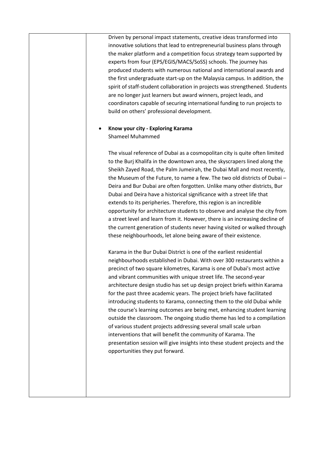Driven by personal impact statements, creative ideas transformed into innovative solutions that lead to entrepreneurial business plans through the maker platform and a competition focus strategy team supported by experts from four (EPS/EGIS/MACS/SoSS) schools. The journey has produced students with numerous national and international awards and the first undergraduate start-up on the Malaysia campus. In addition, the spirit of staff-student collaboration in projects was strengthened. Students are no longer just learners but award winners, project leads, and coordinators capable of securing international funding to run projects to build on others' professional development.

#### • **Know your city - Exploring Karama** Shameel Muhammed

The visual reference of Dubai as a cosmopolitan city is quite often limited to the Burj Khalifa in the downtown area, the skyscrapers lined along the Sheikh Zayed Road, the Palm Jumeirah, the Dubai Mall and most recently, the Museum of the Future, to name a few. The two old districts of Dubai – Deira and Bur Dubai are often forgotten. Unlike many other districts, Bur Dubai and Deira have a historical significance with a street life that extends to its peripheries. Therefore, this region is an incredible opportunity for architecture students to observe and analyse the city from a street level and learn from it. However, there is an increasing decline of the current generation of students never having visited or walked through these neighbourhoods, let alone being aware of their existence.

Karama in the Bur Dubai District is one of the earliest residential neighbourhoods established in Dubai. With over 300 restaurants within a precinct of two square kilometres, Karama is one of Dubai's most active and vibrant communities with unique street life. The second-year architecture design studio has set up design project briefs within Karama for the past three academic years. The project briefs have facilitated introducing students to Karama, connecting them to the old Dubai while the course's learning outcomes are being met, enhancing student learning outside the classroom. The ongoing studio theme has led to a compilation of various student projects addressing several small scale urban interventions that will benefit the community of Karama. The presentation session will give insights into these student projects and the opportunities they put forward.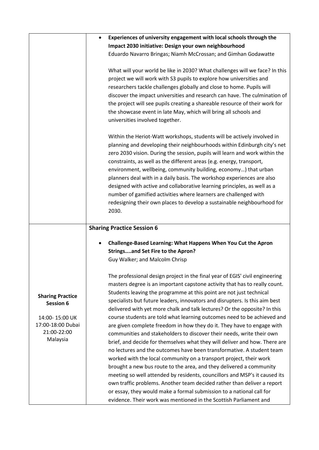|                         | Experiences of university engagement with local schools through the<br>$\bullet$                                                                    |
|-------------------------|-----------------------------------------------------------------------------------------------------------------------------------------------------|
|                         | Impact 2030 initiative: Design your own neighbourhood                                                                                               |
|                         | Eduardo Navarro Bringas; Niamh McCrossan; and Gimhan Godawatte                                                                                      |
|                         |                                                                                                                                                     |
|                         | What will your world be like in 2030? What challenges will we face? In this                                                                         |
|                         | project we will work with S3 pupils to explore how universities and                                                                                 |
|                         | researchers tackle challenges globally and close to home. Pupils will<br>discover the impact universities and research can have. The culmination of |
|                         | the project will see pupils creating a shareable resource of their work for                                                                         |
|                         | the showcase event in late May, which will bring all schools and                                                                                    |
|                         | universities involved together.                                                                                                                     |
|                         |                                                                                                                                                     |
|                         | Within the Heriot-Watt workshops, students will be actively involved in                                                                             |
|                         | planning and developing their neighbourhoods within Edinburgh city's net                                                                            |
|                         | zero 2030 vision. During the session, pupils will learn and work within the                                                                         |
|                         | constraints, as well as the different areas (e.g. energy, transport,                                                                                |
|                         | environment, wellbeing, community building, economy) that urban                                                                                     |
|                         | planners deal with in a daily basis. The workshop experiences are also                                                                              |
|                         | designed with active and collaborative learning principles, as well as a                                                                            |
|                         | number of gamified activities where learners are challenged with                                                                                    |
|                         | redesigning their own places to develop a sustainable neighbourhood for                                                                             |
|                         | 2030.                                                                                                                                               |
|                         | <b>Sharing Practice Session 6</b>                                                                                                                   |
|                         | Challenge-Based Learning: What Happens When You Cut the Apron                                                                                       |
|                         | <b>Stringsand Set Fire to the Apron?</b>                                                                                                            |
|                         | Guy Walker; and Malcolm Chrisp                                                                                                                      |
|                         | The professional design project in the final year of EGIS' civil engineering                                                                        |
|                         | masters degree is an important capstone activity that has to really count.                                                                          |
| <b>Sharing Practice</b> | Students leaving the programme at this point are not just technical                                                                                 |
| Session 6               | specialists but future leaders, innovators and disrupters. Is this aim best                                                                         |
|                         | delivered with yet more chalk and talk lectures? Or the opposite? In this                                                                           |
| 14:00-15:00 UK          |                                                                                                                                                     |
| 17:00-18:00 Dubai       | course students are told what learning outcomes need to be achieved and                                                                             |
|                         | are given complete freedom in how they do it. They have to engage with                                                                              |
| 21:00-22:00             | communities and stakeholders to discover their needs, write their own                                                                               |
| Malaysia                | brief, and decide for themselves what they will deliver and how. There are                                                                          |
|                         | no lectures and the outcomes have been transformative. A student team                                                                               |
|                         | worked with the local community on a transport project, their work                                                                                  |
|                         | brought a new bus route to the area, and they delivered a community                                                                                 |
|                         | meeting so well attended by residents, councillors and MSP's it caused its                                                                          |
|                         | own traffic problems. Another team decided rather than deliver a report                                                                             |
|                         | or essay, they would make a formal submission to a national call for<br>evidence. Their work was mentioned in the Scottish Parliament and           |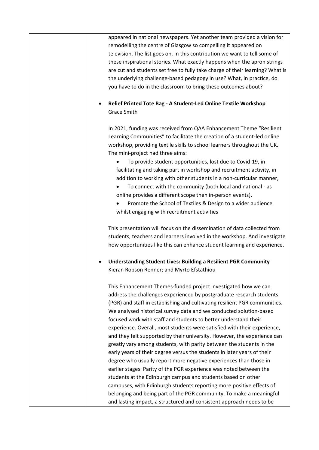appeared in national newspapers. Yet another team provided a vision for remodelling the centre of Glasgow so compelling it appeared on television. The list goes on. In this contribution we want to tell some of these inspirational stories. What exactly happens when the apron strings are cut and students set free to fully take charge of their learning? What is the underlying challenge-based pedagogy in use? What, in practice, do you have to do in the classroom to bring these outcomes about?

#### • **Relief Printed Tote Bag - A Student-Led Online Textile Workshop** Grace Smith

In 2021, funding was received from QAA Enhancement Theme "Resilient Learning Communities" to facilitate the creation of a student-led online workshop, providing textile skills to school learners throughout the UK. The mini-project had three aims:

- To provide student opportunities, lost due to Covid-19, in facilitating and taking part in workshop and recruitment activity, in addition to working with other students in a non-curricular manner,
- To connect with the community (both local and national as online provides a different scope then in-person events),
- Promote the School of Textiles & Design to a wider audience whilst engaging with recruitment activities

This presentation will focus on the dissemination of data collected from students, teachers and learners involved in the workshop. And investigate how opportunities like this can enhance student learning and experience.

• **Understanding Student Lives: Building a Resilient PGR Community** Kieran Robson Renner; and Myrto Efstathiou

This Enhancement Themes-funded project investigated how we can address the challenges experienced by postgraduate research students (PGR) and staff in establishing and cultivating resilient PGR communities. We analysed historical survey data and we conducted solution-based focused work with staff and students to better understand their experience. Overall, most students were satisfied with their experience, and they felt supported by their university. However, the experience can greatly vary among students, with parity between the students in the early years of their degree versus the students in later years of their degree who usually report more negative experiences than those in earlier stages. Parity of the PGR experience was noted between the students at the Edinburgh campus and students based on other campuses, with Edinburgh students reporting more positive effects of belonging and being part of the PGR community. To make a meaningful and lasting impact, a structured and consistent approach needs to be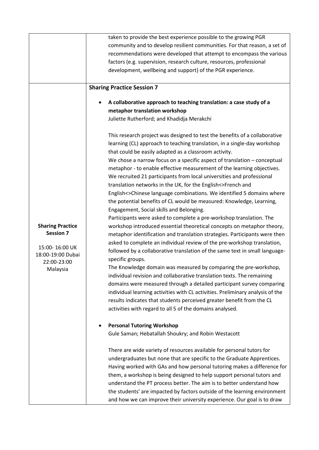|                                             | taken to provide the best experience possible to the growing PGR               |
|---------------------------------------------|--------------------------------------------------------------------------------|
|                                             | community and to develop resilient communities. For that reason, a set of      |
|                                             | recommendations were developed that attempt to encompass the various           |
|                                             | factors (e.g. supervision, research culture, resources, professional           |
|                                             | development, wellbeing and support) of the PGR experience.                     |
|                                             |                                                                                |
|                                             | <b>Sharing Practice Session 7</b>                                              |
|                                             | A collaborative approach to teaching translation: a case study of a            |
|                                             | metaphor translation workshop                                                  |
|                                             | Juliette Rutherford; and Khadidja Merakchi                                     |
|                                             | This research project was designed to test the benefits of a collaborative     |
|                                             | learning (CL) approach to teaching translation, in a single-day workshop       |
|                                             | that could be easily adapted as a classroom activity.                          |
|                                             | We chose a narrow focus on a specific aspect of translation $-$ conceptual     |
|                                             | metaphor - to enable effective measurement of the learning objectives.         |
|                                             | We recruited 21 participants from local universities and professional          |
|                                             | translation networks in the UK, for the English<>French and                    |
|                                             |                                                                                |
|                                             | English<>Chinese language combinations. We identified 5 domains where          |
|                                             | the potential benefits of CL would be measured: Knowledge, Learning,           |
|                                             | Engagement, Social skills and Belonging.                                       |
|                                             | Participants were asked to complete a pre-workshop translation. The            |
| <b>Sharing Practice</b><br><b>Session 7</b> | workshop introduced essential theoretical concepts on metaphor theory,         |
|                                             | metaphor identification and translation strategies. Participants were then     |
| 15:00-16:00 UK                              | asked to complete an individual review of the pre-workshop translation,        |
| 18:00-19:00 Dubai                           | followed by a collaborative translation of the same text in small language-    |
| 22:00-23:00                                 | specific groups.                                                               |
| Malaysia                                    | The Knowledge domain was measured by comparing the pre-workshop,               |
|                                             | individual revision and collaborative translation texts. The remaining         |
|                                             | domains were measured through a detailed participant survey comparing          |
|                                             | individual learning activities with CL activities. Preliminary analysis of the |
|                                             | results indicates that students perceived greater benefit from the CL          |
|                                             | activities with regard to all 5 of the domains analysed.                       |
|                                             | <b>Personal Tutoring Workshop</b>                                              |
|                                             | Gule Saman; Hebatallah Shoukry; and Robin Westacott                            |
|                                             |                                                                                |
|                                             | There are wide variety of resources available for personal tutors for          |
|                                             | undergraduates but none that are specific to the Graduate Apprentices.         |
|                                             | Having worked with GAs and how personal tutoring makes a difference for        |
|                                             | them, a workshop is being designed to help support personal tutors and         |
|                                             | understand the PT process better. The aim is to better understand how          |
|                                             | the students' are impacted by factors outside of the learning environment      |
|                                             | and how we can improve their university experience. Our goal is to draw        |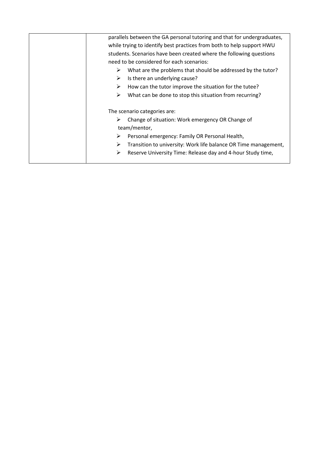| parallels between the GA personal tutoring and that for undergraduates, |
|-------------------------------------------------------------------------|
| while trying to identify best practices from both to help support HWU   |
| students. Scenarios have been created where the following questions     |
| need to be considered for each scenarios:                               |
| What are the problems that should be addressed by the tutor?<br>➤       |
| Is there an underlying cause?<br>➤                                      |
| How can the tutor improve the situation for the tutee?<br>➤             |
| What can be done to stop this situation from recurring?<br>➤            |
| The scenario categories are:                                            |
| Change of situation: Work emergency OR Change of<br>➤                   |
| team/mentor,                                                            |
| Personal emergency: Family OR Personal Health,<br>➤                     |
| ➤<br>Transition to university: Work life balance OR Time management,    |
| Reserve University Time: Release day and 4-hour Study time,<br>➤        |
|                                                                         |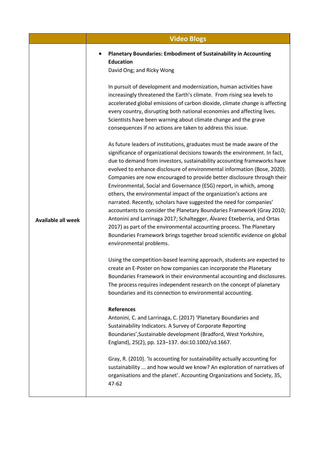|                           | <b>Video Blogs</b>                                                                                                                                                                                                                                                                                                                                                                                                                                                                                                                                                                                                                                                                                                                                                                                                                                                                                                                            |
|---------------------------|-----------------------------------------------------------------------------------------------------------------------------------------------------------------------------------------------------------------------------------------------------------------------------------------------------------------------------------------------------------------------------------------------------------------------------------------------------------------------------------------------------------------------------------------------------------------------------------------------------------------------------------------------------------------------------------------------------------------------------------------------------------------------------------------------------------------------------------------------------------------------------------------------------------------------------------------------|
|                           | <b>Planetary Boundaries: Embodiment of Sustainability in Accounting</b><br><b>Education</b><br>David Ong; and Ricky Wong                                                                                                                                                                                                                                                                                                                                                                                                                                                                                                                                                                                                                                                                                                                                                                                                                      |
| <b>Available all week</b> | In pursuit of development and modernization, human activities have<br>increasingly threatened the Earth's climate. From rising sea levels to<br>accelerated global emissions of carbon dioxide, climate change is affecting<br>every country, disrupting both national economies and affecting lives.<br>Scientists have been warning about climate change and the grave<br>consequences if no actions are taken to address this issue.                                                                                                                                                                                                                                                                                                                                                                                                                                                                                                       |
|                           | As future leaders of institutions, graduates must be made aware of the<br>significance of organizational decisions towards the environment. In fact,<br>due to demand from investors, sustainability accounting frameworks have<br>evolved to enhance disclosure of environmental information (Bose, 2020).<br>Companies are now encouraged to provide better disclosure through their<br>Environmental, Social and Governance (ESG) report, in which, among<br>others, the environmental impact of the organization's actions are<br>narrated. Recently, scholars have suggested the need for companies'<br>accountants to consider the Planetary Boundaries Framework (Gray 2010;<br>Antonini and Larrinaga 2017; Schaltegger, Álvarez Etxeberria, and Ortas<br>2017) as part of the environmental accounting process. The Planetary<br>Boundaries Framework brings together broad scientific evidence on global<br>environmental problems. |
|                           | Using the competition-based learning approach, students are expected to<br>create an E-Poster on how companies can incorporate the Planetary<br>Boundaries Framework in their environmental accounting and disclosures.<br>The process requires independent research on the concept of planetary<br>boundaries and its connection to environmental accounting.                                                                                                                                                                                                                                                                                                                                                                                                                                                                                                                                                                                |
|                           | <b>References</b><br>Antonini, C. and Larrinaga, C. (2017) 'Planetary Boundaries and<br>Sustainability Indicators. A Survey of Corporate Reporting<br>Boundaries', Sustainable development (Bradford, West Yorkshire,<br>England), 25(2), pp. 123-137. doi:10.1002/sd.1667.                                                                                                                                                                                                                                                                                                                                                                                                                                                                                                                                                                                                                                                                   |
|                           | Gray, R. (2010). 'Is accounting for sustainability actually accounting for<br>sustainability  and how would we know? An exploration of narratives of<br>organisations and the planet'. Accounting Organizations and Society, 35,<br>47-62                                                                                                                                                                                                                                                                                                                                                                                                                                                                                                                                                                                                                                                                                                     |